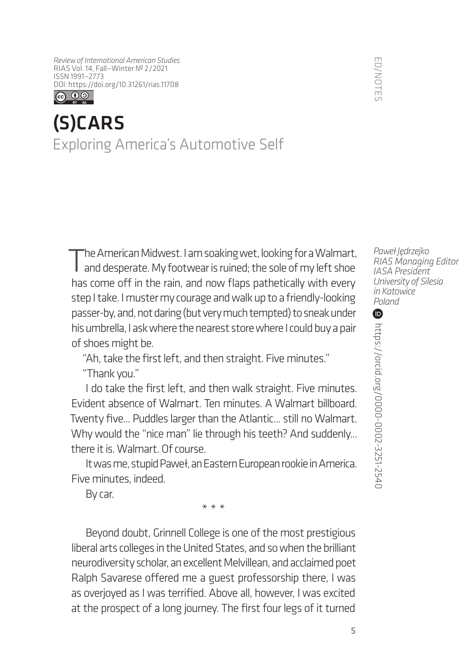*Review of International American Studies* RIAS Vol. 14, Fall—Winter № 2/2021 ISSN 1991—2773 [DOI: https://doi.org/1](https://doi.org/10.31261/rias.11708)0.31261/rias.11708



## (S)CARS Exploring America's Automotive Self

The American Midwest. I am soaking wet, looking for a Walmart,<br>and desperate. My footwear is ruined; the sole of my left shoe has come off in the rain, and now flaps pathetically with every step I take. I muster my courage and walk up to a friendly-looking passer-by, and, not daring (but very much tempted) to sneak under his umbrella, I ask where the nearest store where I could buy a pair of shoes might be.

"Ah, take the first left, and then straight. Five minutes." "Thank you."

I do take the first left, and then walk straight. Five minutes. Evident absence of Walmart. Ten minutes. A Walmart billboard. Twenty five... Puddles larger than the Atlantic... still no Walmart. Why would the "nice man" lie through his teeth? And suddenly... there it is. Walmart. Of course.

It was me, stupid Paweł, an Eastern European rookie in America. Five minutes, indeed.

By car.

\*\*\*

Beyond doubt, Grinnell College is one of the most prestigious liberal arts colleges in the United States, and so when the brilliant neurodiversity scholar, an excellent Melvillean, and acclaimed poet Ralph Savarese offered me a guest professorship there, I was as overjoyed as I was terrified. Above all, however, I was excited at the prospect of a long journey. The first four legs of it turned

*Paweł Jędrzejko RIAS Managing Editor IASA President University of Silesia in Katowice Poland*

 $\bf \Phi$ https://orcid.org/0000-0002-3251-2540 <https://orcid.org/0000-0002-3251-2540>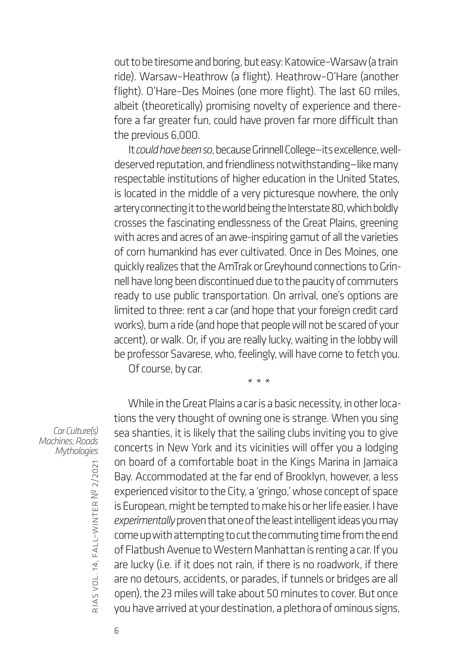out to be tiresome and boring, but easy: Katowice–Warsaw (a train ride). Warsaw–Heathrow (a flight). Heathrow–O'Hare (another flight). O'Hare–Des Moines (one more flight). The last 60 miles, albeit (theoretically) promising novelty of experience and therefore a far greater fun, could have proven far more difficult than the previous 6,000.

It *could have been so*, because Grinnell College—its excellence, welldeserved reputation, and friendliness notwithstanding—like many respectable institutions of higher education in the United States, is located in the middle of a very picturesque nowhere, the only artery connecting it to the world being the Interstate 80, which boldly crosses the fascinating endlessness of the Great Plains, greening with acres and acres of an awe-inspiring gamut of all the varieties of corn humankind has ever cultivated. Once in Des Moines, one quickly realizes that the AmTrak or Greyhound connections to Grinnell have long been discontinued due to the paucity of commuters ready to use public transportation. On arrival, one's options are limited to three: rent a car (and hope that your foreign credit card works), bum a ride (and hope that people will not be scared of your accent), or walk. Or, if you are really lucky, waiting in the lobby will be professor Savarese, who, feelingly, will have come to fetch you. Of course, by car.

\* \* \*

*Car Culture(s) Machines, Roads Mythologies*

While in the Great Plains a car is a basic necessity, in other locations the very thought of owning one is strange. When you sing sea shanties, it is likely that the sailing clubs inviting you to give concerts in New York and its vicinities will offer you a lodging on board of a comfortable boat in the Kings Marina in Jamaica Bay. Accommodated at the far end of Brooklyn, however, a less experienced visitor to the City, a 'gringo,' whose concept of space is European, might be tempted to make his or her life easier. I have *experimentally* proven that one of the least intelligent ideas you may come up with attempting to cut the commuting time from the end of Flatbush Avenue to Western Manhattan is renting a car. If you are lucky (i.e. if it does not rain, if there is no roadwork, if there are no detours, accidents, or parades, if tunnels or bridges are all open), the 23 miles will take about 50 minutes to cover. But once you have arrived at your destination, a plethora of ominous signs,

rias

vol. 14, fall–winter

№ 2/2021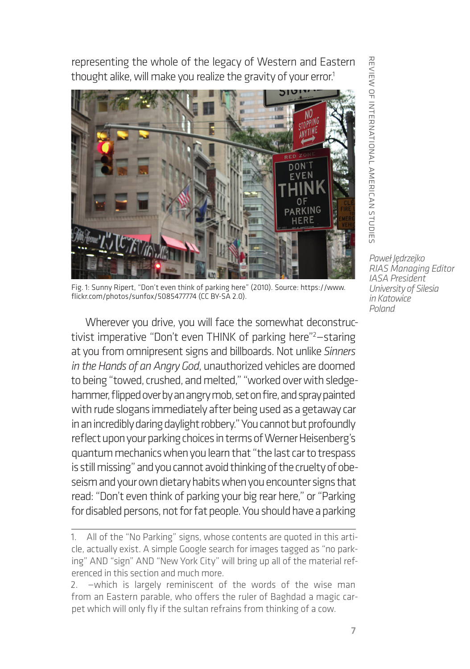representing the whole of the legacy of Western and Eastern thought alike, will make you realize the gravity of your error.<sup>1</sup>



Fig. 1: Sunny Ripert, "Don't even think of parking here" (2010). Source: [https://www.](https://www.flickr.com/photos/sunfox/5085477774) [flickr.com/photos/sunfox/5085477774](https://www.flickr.com/photos/sunfox/5085477774) (CC BY-SA 2.0).

Wherever you drive, you will face the somewhat deconstructivist imperative "Don't even THINK of parking here"<sup>2</sup>-staring at you from omnipresent signs and billboards. Not unlike *Sinners in the Hands of an Angry God*, unauthorized vehicles are doomed to being "towed, crushed, and melted," "worked over with sledgehammer, flipped over by an angry mob, set on fire, and spray painted with rude slogans immediately after being used as a getaway car in an incredibly daring daylight robbery." You cannot but profoundly reflect upon your parking choices in terms of Werner Heisenberg's quantum mechanics when you learn that "the last car to trespass is still missing" and you cannot avoid thinking of the cruelty of obeseism and your own dietary habits when you encounter signs that read: "Don't even think of parking your big rear here," or "Parking for disabled persons, not for fat people. You should have a parking

REVIEW OF INTERNATIONAL AMERICAN STUDIES review of international american studies

<sup>1.</sup> All of the "No Parking" signs, whose contents are quoted in this article, actually exist. A simple Google search for images tagged as "no parking" AND "sign" AND "New York City" will bring up all of the material referenced in this section and much more.

<sup>2.</sup> —which is largely reminiscent of the words of the wise man from an Eastern parable, who offers the ruler of Baghdad a magic carpet which will only fly if the sultan refrains from thinking of a cow.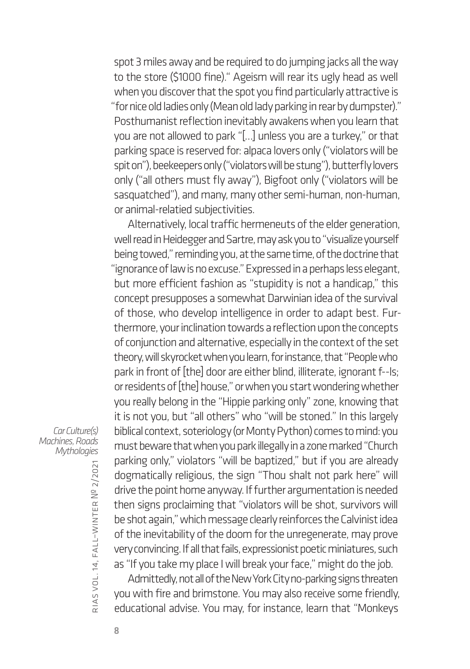spot 3 miles away and be required to do jumping jacks all the way to the store (\$1000 fine)." Ageism will rear its ugly head as well when you discover that the spot you find particularly attractive is "for nice old ladies only (Mean old lady parking in rear by dumpster)." Posthumanist reflection inevitably awakens when you learn that you are not allowed to park "[…] unless you are a turkey," or that parking space is reserved for: alpaca lovers only ("violators will be spit on"), beekeepers only ("violators will be stung"), butterfly lovers only ("all others must fly away"), Bigfoot only ("violators will be sasquatched"), and many, many other semi-human, non-human, or animal-relatied subjectivities.

Alternatively, local traffic hermeneuts of the elder generation, well read in Heidegger and Sartre, may ask you to "visualize yourself being towed," reminding you, at the same time, of the doctrine that "ignorance of law is no excuse." Expressed in a perhaps less elegant, but more efficient fashion as "stupidity is not a handicap," this concept presupposes a somewhat Darwinian idea of the survival of those, who develop intelligence in order to adapt best. Furthermore, your inclination towards a reflection upon the concepts of conjunction and alternative, especially in the context of the set theory, will skyrocket when you learn, for instance, that "People who park in front of [the] door are either blind, illiterate, ignorant f--ls; or residents of [the] house," or when you start wondering whether you really belong in the "Hippie parking only" zone, knowing that it is not you, but "all others" who "will be stoned." In this largely biblical context, soteriology (or Monty Python) comes to mind: you must beware that when you park illegally in a zone marked "Church parking only," violators "will be baptized," but if you are already dogmatically religious, the sign "Thou shalt not park here" will drive the point home anyway. If further argumentation is needed then signs proclaiming that "violators will be shot, survivors will be shot again," which message clearly reinforces the Calvinist idea of the inevitability of the doom for the unregenerate, may prove very convincing. If all that fails, expressionist poetic miniatures, such as "If you take my place I will break your face," might do the job.

Admittedly, not all of the New York City no-parking signs threaten you with fire and brimstone. You may also receive some friendly, educational advise. You may, for instance, learn that "Monkeys

*Car Culture(s) Machines, Roads Mythologies*

> rias vol. 14, fall–winter № 2/2021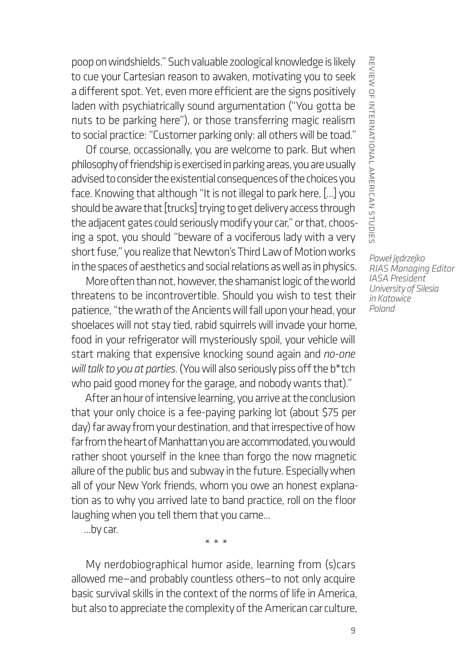poop on windshields." Such valuable zoological knowledge is likely to cue your Cartesian reason to awaken, motivating you to seek a different spot. Yet, even more efficient are the signs positively laden with psychiatrically sound argumentation ("You gotta be nuts to be parking here"), or those transferring magic realism to social practice: "Customer parking only: all others will be toad."

Of course, occassionally, you are welcome to park. But when philosophy of friendship is exercised in parking areas, you are usually advised to consider the existential consequences of the choices you face. Knowing that although "It is not illegal to park here, […] you should be aware that [trucks] trying to get delivery access through the adjacent gates could seriously modify your car," or that, choosing a spot, you should "beware of a vociferous lady with a very short fuse," you realize that Newton's Third Law of Motion works in the spaces of aesthetics and social relations as well as in physics.

More often than not, however, the shamanist logic of the world threatens to be incontrovertible. Should you wish to test their patience, "the wrath of the Ancients will fall upon your head, your shoelaces will not stay tied, rabid squirrels will invade your home, food in your refrigerator will mysteriously spoil, your vehicle will start making that expensive knocking sound again and *no-one will talk to you at parties*. (You will also seriously piss off the b\*tch who paid good money for the garage, and nobody wants that)."

After an hour of intensive learning, you arrive at the conclusion that your only choice is a fee-paying parking lot (about \$75 per day) far away from your destination, and that irrespective of how far from the heart of Manhattan you are accommodated, you would rather shoot yourself in the knee than forgo the now magnetic allure of the public bus and subway in the future. Especially when all of your New York friends, whom you owe an honest explanation as to why you arrived late to band practice, roll on the floor laughing when you tell them that you came...

...by car.

My nerdobiographical humor aside, learning from (s)cars allowed me—and probably countless others—to not only acquire basic survival skills in the context of the norms of life in America, but also to appreciate the complexity of the American car culture,

\*\*\*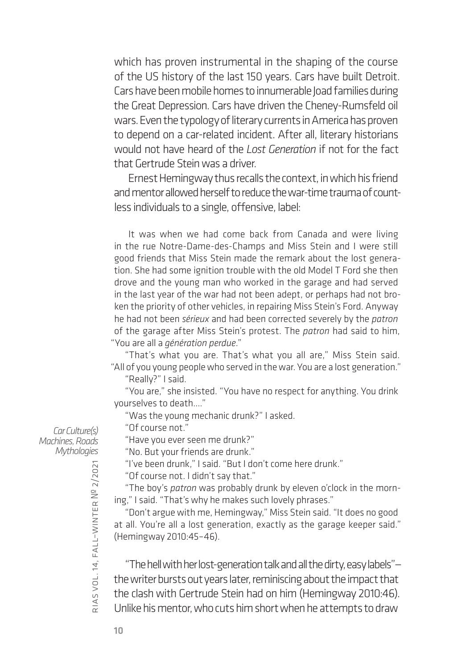which has proven instrumental in the shaping of the course of the US history of the last 150 years. Cars have built Detroit. Cars have been mobile homes to innumerable Joad families during the Great Depression. Cars have driven the Cheney-Rumsfeld oil wars. Even the typology of literary currents in America has proven to depend on a car-related incident. After all, literary historians would not have heard of the *Lost Generation* if not for the fact that Gertrude Stein was a driver.

Ernest Hemingway thus recalls the context, in which his friend and mentor allowed herself to reduce the war-time trauma of countless individuals to a single, offensive, label:

It was when we had come back from Canada and were living in the rue Notre-Dame-des-Champs and Miss Stein and I were still good friends that Miss Stein made the remark about the lost generation. She had some ignition trouble with the old Model T Ford she then drove and the young man who worked in the garage and had served in the last year of the war had not been adept, or perhaps had not broken the priority of other vehicles, in repairing Miss Stein's Ford. Anyway he had not been *sérieux* and had been corrected severely by the *patron* of the garage after Miss Stein's protest. The *patron* had said to him, "You are all a *génération perdue*."

"That's what you are. That's what you all are," Miss Stein said. "All of you young people who served in the war. You are a lost generation."

"Really?" I said.

"You are," she insisted. "You have no respect for anything. You drink yourselves to death...."

"Was the young mechanic drunk?" I asked.

"Of course not."

"Have you ever seen me drunk?"

"No. But your friends are drunk."

"I've been drunk," I said. "But I don't come here drunk."

"Of course not. I didn't say that."

"The boy's *patron* was probably drunk by eleven o'clock in the morning," I said. "That's why he makes such lovely phrases."

"Don't argue with me, Hemingway," Miss Stein said. "It does no good at all. You're all a lost generation, exactly as the garage keeper said." (Hemingway 2010:45–46).

"The hell with her lost-generation talk and all the dirty, easy labels" the writer bursts out years later, reminiscing about the impact that the clash with Gertrude Stein had on him (Hemingway 2010:46). Unlike his mentor, who cuts him short when he attempts to draw

*Car Culture(s) Machines, Roads Mythologies*

rias

vol. 14, fall–winter

№ 2/2021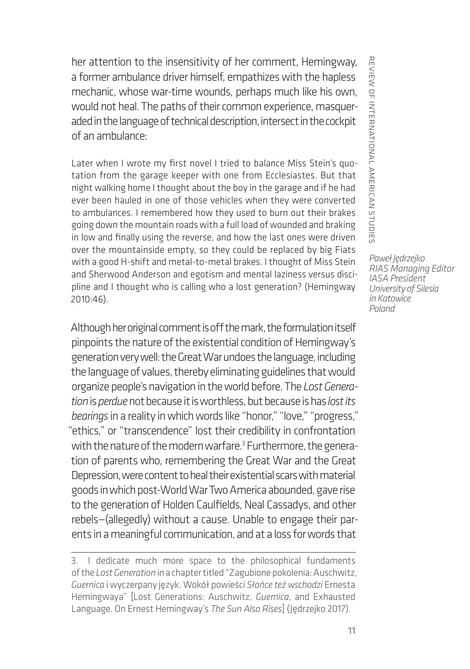her attention to the insensitivity of her comment, Hemingway, a former ambulance driver himself, empathizes with the hapless mechanic, whose war-time wounds, perhaps much like his own, would not heal. The paths of their common experience, masqueraded in the language of technical description, intersect in the cockpit of an ambulance:

Later when I wrote my first novel I tried to balance Miss Stein's quotation from the garage keeper with one from Ecclesiastes. But that night walking home I thought about the boy in the garage and if he had ever been hauled in one of those vehicles when they were converted to ambulances. I remembered how they used to burn out their brakes going down the mountain roads with a full load of wounded and braking in low and finally using the reverse, and how the last ones were driven over the mountainside empty, so they could be replaced by big Fiats with a good H-shift and metal-to-metal brakes. I thought of Miss Stein and Sherwood Anderson and egotism and mental laziness versus discipline and I thought who is calling who a lost generation? (Hemingway 2010:46).

Although her original comment is off the mark, the formulation itself pinpoints the nature of the existential condition of Hemingway's generation very well: the Great War undoes the language, including the language of values, thereby eliminating guidelines that would organize people's navigation in the world before. The *Lost Generation* is *perdue*not because it is worthless, but because is has *lost its bearings* in a reality in which words like "honor," "love," "progress," "ethics," or "transcendence" lost their credibility in confrontation with the nature of the modern warfare.<sup>3</sup> Furthermore, the generation of parents who, remembering the Great War and the Great Depression, were content to heal their existential scars with material goods in which post-World War Two America abounded, gave rise to the generation of Holden Caulfields, Neal Cassadys, and other rebels—(allegedly) without a cause. Unable to engage their parents in a meaningful communication, and at a loss for words that

<sup>3.</sup> I dedicate much more space to the philosophical fundaments of the *Lost Generation* in a chapter titled "Zagubione pokolenia: Auschwitz, *Guernica* i wyczerpany język. Wokół powieści *Słońce też wschodzi* Ernesta Hemingwaya" [Lost Generations: Auschwitz, *Guernica*, and Exhausted Language. On Ernest Hemingway's *The Sun Also Rises*] (Jędrzejko 2017).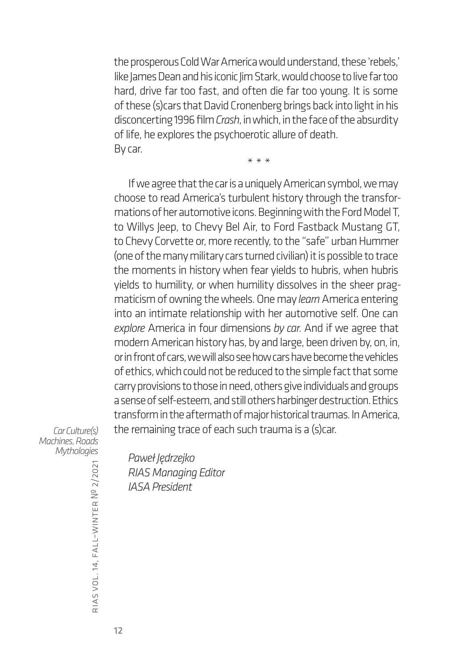the prosperous Cold War America would understand, these 'rebels,' like James Dean and his iconic Jim Stark, would choose to live far too hard, drive far too fast, and often die far too young. It is some of these (s)cars that David Cronenberg brings back into light in his disconcerting 1996 film *Crash*, in which, in the face of the absurdity of life, he explores the psychoerotic allure of death. By car.

\*\*\*

If we agree that the car is a uniquely American symbol, we may choose to read America's turbulent history through the transformations of her automotive icons. Beginning with the Ford Model T, to Willys Jeep, to Chevy Bel Air, to Ford Fastback Mustang GT, to Chevy Corvette or, more recently, to the "safe" urban Hummer (one of the many military cars turned civilian) it is possible to trace the moments in history when fear yields to hubris, when hubris yields to humility, or when humility dissolves in the sheer pragmaticism of owning the wheels. One may *learn* America entering into an intimate relationship with her automotive self. One can *explore* America in four dimensions *by car*. And if we agree that modern American history has, by and large, been driven by, on, in, or in front of cars, we will also see how cars have become the vehicles of ethics, which could not be reduced to the simple fact that some carry provisions to those in need, others give individuals and groups a sense of self-esteem, and still others harbinger destruction. Ethics transform in the aftermath of major historical traumas. In America, the remaining trace of each such trauma is a (s)car.

*Car Culture(s) Machines, Roads Mythologies*

*Paweł Jędrzejko RIAS Managing Editor IASA President*

rias

vol. 14, fall–winter

№ 2/2021